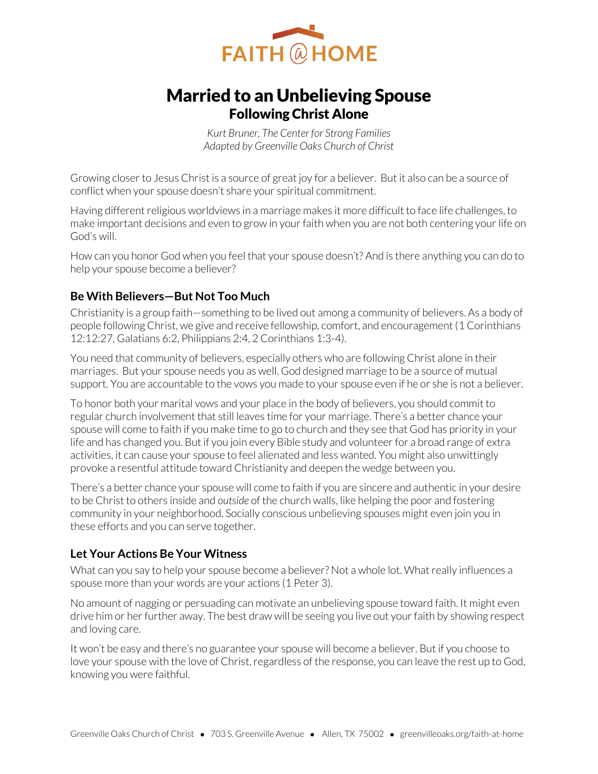

# Married to an Unbelieving Spouse Following Christ Alone

*Kurt Bruner, The Center for Strong Families Adapted by Greenville Oaks Church of Christ* 

Growing closer to Jesus Christ is a source of great joy for a believer. But it also can be a source of conflict when your spouse doesn't share your spiritual commitment.

Having different religious worldviews in a marriage makes it more difficult to face life challenges, to make important decisions and even to grow in your faith when you are not both centering your life on God's will.

How can you honor God when you feel that your spouse doesn't? And is there anything you can do to help your spouse become a believer?

# **Be With Believers—But Not Too Much**

Christianity is a group faith—something to be lived out among a community of believers. As a body of people following Christ, we give and receive fellowship, comfort, and encouragement (1 Corinthians 12:12:27, Galatians 6:2, Philippians 2:4, 2 Corinthians 1:3-4).

You need that community of believers, especially others who are following Christ alone in their marriages. But your spouse needs you as well. God designed marriage to be a source of mutual support. You are accountable to the vows you made to your spouse even if he or she is not a believer.

To honor both your marital vows and your place in the body of believers, you should commit to regular church involvement that still leaves time for your marriage. There's a better chance your spouse will come to faith if you make time to go to church and they see that God has priority in your life and has changed you. But if you join every Bible study and volunteer for a broad range of extra activities, it can cause your spouse to feel alienated and less wanted. You might also unwittingly provoke a resentful attitude toward Christianity and deepen the wedge between you.

There's a better chance your spouse will come to faith if you are sincere and authentic in your desire to be Christ to others inside and *outside* of the church walls, like helping the poor and fostering community in your neighborhood. Socially conscious unbelieving spouses might even join you in these efforts and you can serve together.

# **Let Your Actions Be Your Witness**

What can you say to help your spouse become a believer? Not a whole lot. What really influences a spouse more than your words are your actions (1 Peter 3).

No amount of nagging or persuading can motivate an unbelieving spouse toward faith. It might even drive him or her further away. The best draw will be seeing you live out your faith by showing respect and loving care.

It won't be easy and there's no guarantee your spouse will become a believer. But if you choose to love your spouse with the love of Christ, regardless of the response, you can leave the rest up to God, knowing you were faithful.